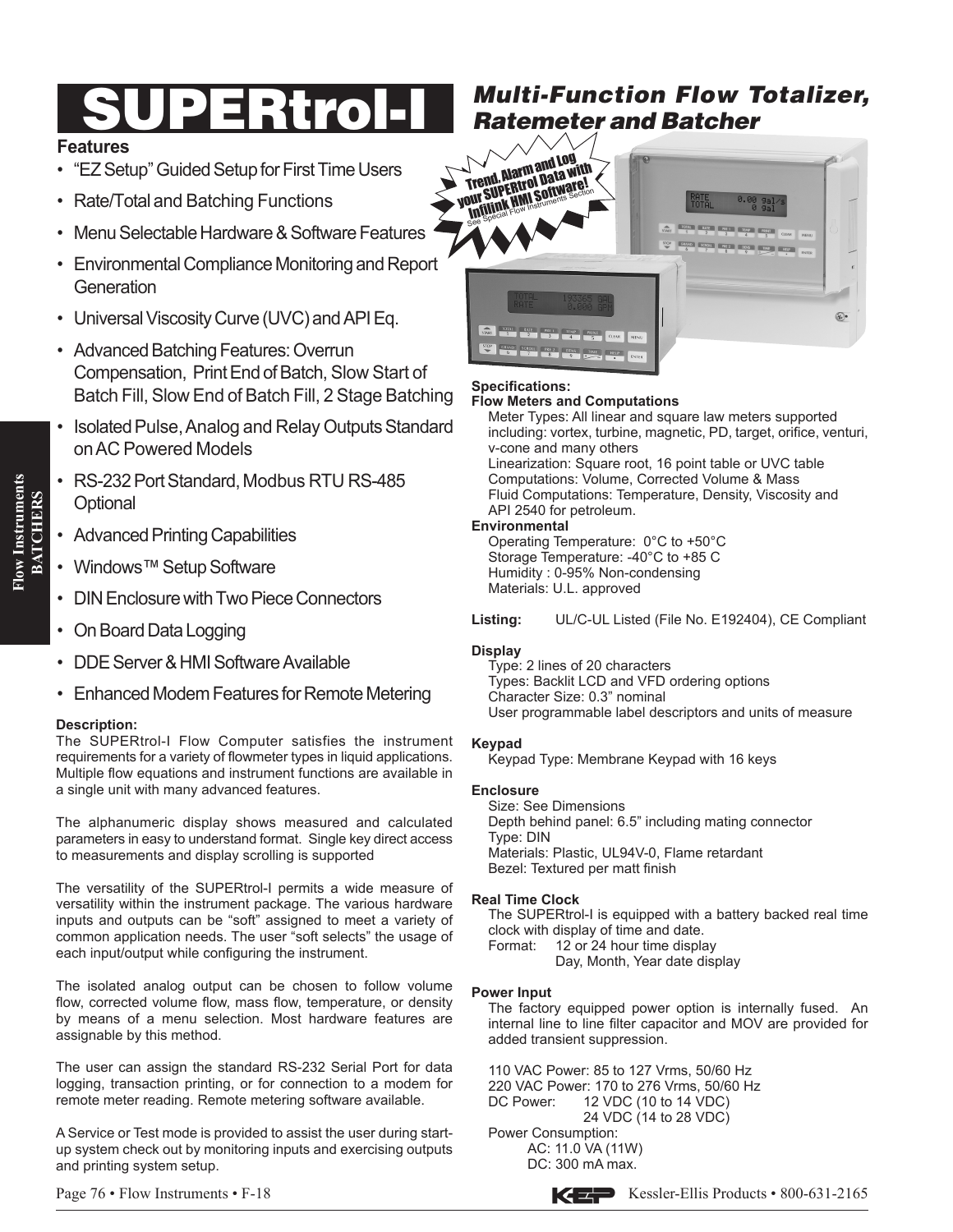# UPERtrol-

# **Features**

- "EZ Setup" Guided Setup for First Time Users
- Rate/Total and Batching Functions
- Menu Selectable Hardware & Software Features
- Environmental Compliance Monitoring and Report **Generation**
- Universal Viscosity Curve (UVC) and API Eq.
- Advanced Batching Features: Overrun Compensation, Print End of Batch, Slow Start of Batch Fill, Slow End of Batch Fill, 2 Stage Batching
- Isolated Pulse, Analog and Relay Outputs Standard onAC Powered Models
- RS-232 Port Standard, Modbus RTU RS-485 **Optional**
- Advanced Printing Capabilities
- Windows™ Setup Software
- DIN Enclosure with Two Piece Connectors
- On Board Data Logging
- DDE Server & HMI Software Available
- Enhanced Modem Features for Remote Metering

# **Description:**

The SUPERtrol-I Flow Computer satisfies the instrument requirements for a variety of flowmeter types in liquid applications. Multiple flow equations and instrument functions are available in a single unit with many advanced features.

The alphanumeric display shows measured and calculated parameters in easy to understand format. Single key direct access to measurements and display scrolling is supported

The versatility of the SUPERtrol-I permits a wide measure of versatility within the instrument package. The various hardware inputs and outputs can be "soft" assigned to meet a variety of common application needs. The user "soft selects" the usage of each input/output while configuring the instrument.

The isolated analog output can be chosen to follow volume flow, corrected volume flow, mass flow, temperature, or density by means of a menu selection. Most hardware features are assignable by this method.

The user can assign the standard RS-232 Serial Port for data logging, transaction printing, or for connection to a modem for remote meter reading. Remote metering software available.

A Service or Test mode is provided to assist the user during startup system check out by monitoring inputs and exercising outputs and printing system setup.

# *Multi-Function Flow Totalizer, Ratemeter and Batcher*



#### **Specifications:**

#### **Flow Meters and Computations**

Meter Types: All linear and square law meters supported including: vortex, turbine, magnetic, PD, target, orifice, venturi, v-cone and many others Linearization: Square root, 16 point table or UVC table

Computations: Volume, Corrected Volume & Mass Fluid Computations: Temperature, Density, Viscosity and API 2540 for petroleum.

# **Environmental**

Operating Temperature: 0°C to +50°C Storage Temperature: -40°C to +85 C Humidity : 0-95% Non-condensing Materials: U.L. approved

**Listing:** UL/C-UL Listed (File No. E192404), CE Compliant

# **Display**

Type: 2 lines of 20 characters Types: Backlit LCD and VFD ordering options Character Size: 0.3" nominal User programmable label descriptors and units of measure

# **Keypad**

Keypad Type: Membrane Keypad with 16 keys

# **Enclosure**

Size: See Dimensions Depth behind panel: 6.5" including mating connector Type: DIN Materials: Plastic, UL94V-0, Flame retardant Bezel: Textured per matt finish

# **Real Time Clock**

The SUPERtrol-I is equipped with a battery backed real time clock with display of time and date.<br>Format: 12 or 24 hour time displa 12 or 24 hour time display

 Day, Month, Year date display

# **Power Input**

The factory equipped power option is internally fused. An internal line to line filter capacitor and MOV are provided for added transient suppression.

110 VAC Power: 85 to 127 Vrms, 50/60 Hz 220 VAC Power: 170 to 276 Vrms, 50/60 Hz<br>DC Power: \_\_ 12 VDC (10 to 14 VDC) 12 VDC (10 to 14 VDC) 24 VDC (14 to 28 VDC) Power Consumption:

 AC: 11.0 VA (11W) DC: 300 mA max.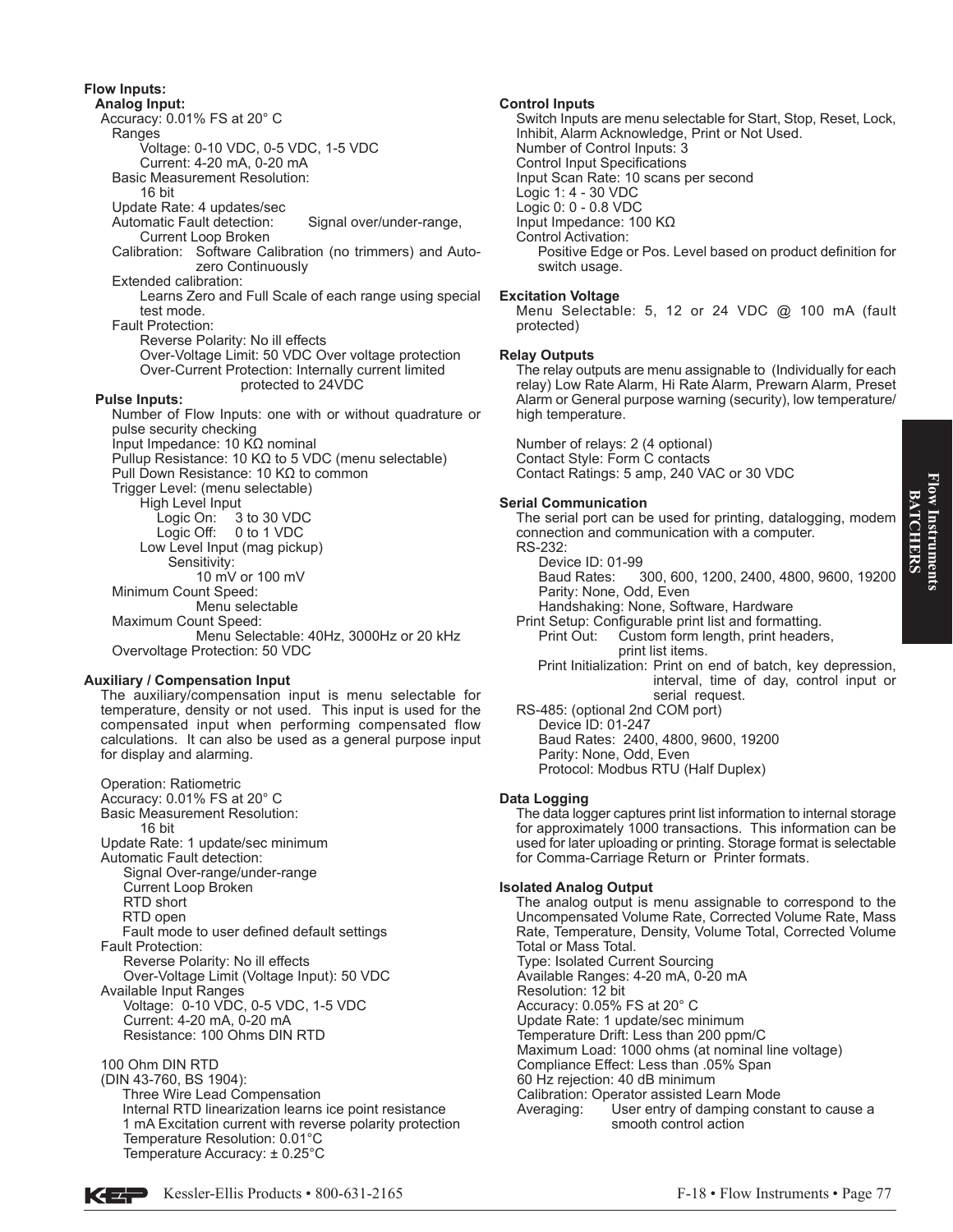# **Flow Inputs:**

**Analog Input:** Accuracy: 0.01% FS at 20° C Ranges Voltage: 0-10 VDC, 0-5 VDC, 1-5 VDC Current: 4-20 mA, 0-20 mA Basic Measurement Resolution: 16 bit Update Rate: 4 updates/sec<br>Automatic Fault detection: Signal over/under-range, Current Loop Broken Calibration: Software Calibration (no trimmers) and Autozero Continuously Extended calibration: Learns Zero and Full Scale of each range using special test mode. Fault Protection: Reverse Polarity: No ill effects Over-Voltage Limit: 50 VDC Over voltage protection Over-Current Protection: Internally current limited protected to 24VDC **Pulse Inputs:** Number of Flow Inputs: one with or without quadrature or pulse security checking Input Impedance: 10 KΩ nominal Pullup Resistance: 10 KΩ to 5 VDC (menu selectable) Pull Down Resistance: 10 KΩ to common Trigger Level: (menu selectable) High Level Input Logic On: 3 to 30 VDC Logic Off: 0 to 1 VDC Low Level Input (mag pickup) Sensitivity: 10 mV or 100 mV Minimum Count Speed: Menu selectable Maximum Count Speed: Menu Selectable: 40Hz, 3000Hz or 20 kHz Overvoltage Protection: 50 VDC

#### **Auxiliary / Compensation Input**

The auxiliary/compensation input is menu selectable for temperature, density or not used. This input is used for the compensated input when performing compensated flow calculations. It can also be used as a general purpose input for display and alarming.

Operation: Ratiometric Accuracy: 0.01% FS at 20° C Basic Measurement Resolution: 16 bit Update Rate: 1 update/sec minimum Automatic Fault detection: Signal Over-range/under-range Current Loop Broken RTD short RTD open Fault mode to user defined default settings Fault Protection: Reverse Polarity: No ill effects Over-Voltage Limit (Voltage Input): 50 VDC Available Input Ranges Voltage: 0-10 VDC, 0-5 VDC, 1-5 VDC Current: 4-20 mA, 0-20 mA Resistance: 100 Ohms DIN RTD

100 Ohm DIN RTD

(DIN 43-760, BS 1904): Three Wire Lead Compensation Internal RTD linearization learns ice point resistance 1 mA Excitation current with reverse polarity protection Temperature Resolution: 0.01°C Temperature Accuracy: ± 0.25°C

#### **Control Inputs**

Switch Inputs are menu selectable for Start, Stop, Reset, Lock, Inhibit, Alarm Acknowledge, Print or Not Used. Number of Control Inputs: 3 Control Input Specifications Input Scan Rate: 10 scans per second Logic 1: 4 - 30 VDC Logic 0: 0 - 0.8 VDC Input Impedance: 100 KΩ Control Activation: Positive Edge or Pos. Level based on product definition for switch usage.

#### **Excitation Voltage**

Menu Selectable: 5, 12 or 24 VDC @ 100 mA (fault protected)

#### **Relay Outputs**

The relay outputs are menu assignable to (Individually for each relay) Low Rate Alarm, Hi Rate Alarm, Prewarn Alarm, Preset Alarm or General purpose warning (security), low temperature/ high temperature.

Number of relays: 2 (4 optional) Contact Style: Form C contacts Contact Ratings: 5 amp, 240 VAC or 30 VDC

#### **Serial Communication**

The serial port can be used for printing, datalogging, modem connection and communication with a computer. RS-232:

 Device ID: 01-99 Baud Rates: 300, 600, 1200, 2400, 4800, 9600, 19200 Parity: None, Odd, Even

- Handshaking: None, Software, Hardware
- Print Setup: Configurable print list and formatting. Custom form length, print headers, print list items.
- Print Initialization: Print on end of batch, key depression, interval, time of day, control input or
- serial request. RS-485: (optional 2nd COM port)

 Device ID: 01-247 Baud Rates: 2400, 4800, 9600, 19200 Parity: None, Odd, Even Protocol: Modbus RTU (Half Duplex)

#### **Data Logging**

The data logger captures print list information to internal storage for approximately 1000 transactions. This information can be used for later uploading or printing. Storage format is selectable for Comma-Carriage Return or Printer formats.

#### **Isolated Analog Output**

The analog output is menu assignable to correspond to the Uncompensated Volume Rate, Corrected Volume Rate, Mass Rate, Temperature, Density, Volume Total, Corrected Volume Total or Mass Total. Type: Isolated Current Sourcing Available Ranges: 4-20 mA, 0-20 mA Resolution: 12 bit Accuracy: 0.05% FS at 20° C Update Rate: 1 update/sec minimum Temperature Drift: Less than 200 ppm/C Maximum Load: 1000 ohms (at nominal line voltage) Compliance Effect: Less than .05% Span 60 Hz rejection: 40 dB minimum Calibration: Operator assisted Learn Mode Averaging: User entry of damping constant to cause a smooth control action